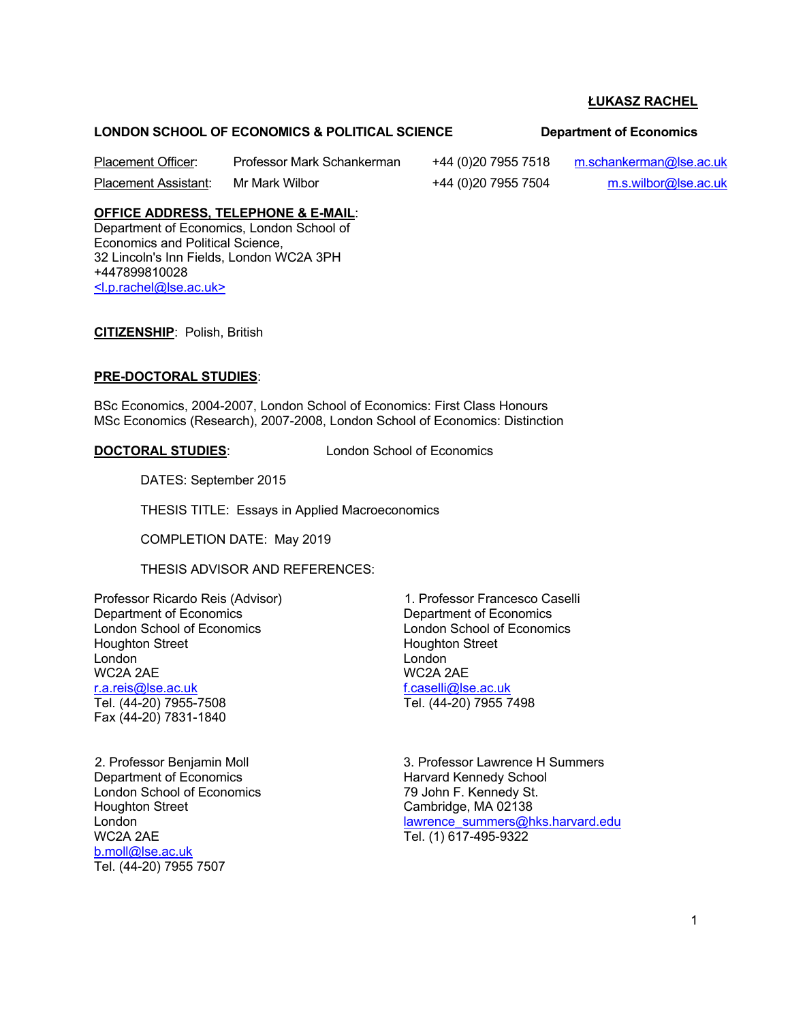#### **LONDON SCHOOL OF ECONOMICS & POLITICAL SCIENCE Department of Economics**

Placement Officer: Professor Mark Schankerman +44 (0)20 7955 7518 m.schankerman@lse.ac.uk

Placement Assistant: Mr Mark Wilbor +44 (0)20 7955 7504 m.s.wilbor@lse.ac.uk

# **OFFICE ADDRESS, TELEPHONE & E-MAIL**:

Department of Economics, London School of Economics and Political Science, 32 Lincoln's Inn Fields, London WC2A 3PH +447899810028 <l.p.rachel@lse.ac.uk>

**CITIZENSHIP**: Polish, British

#### **PRE-DOCTORAL STUDIES**:

BSc Economics, 2004-2007, London School of Economics: First Class Honours MSc Economics (Research), 2007-2008, London School of Economics: Distinction

**DOCTORAL STUDIES**: London School of Economics

DATES: September 2015

THESIS TITLE: Essays in Applied Macroeconomics

COMPLETION DATE: May 2019

THESIS ADVISOR AND REFERENCES:

Professor Ricardo Reis (Advisor) Department of Economics London School of Economics Houghton Street London WC2A 2AE r.a.reis@lse.ac.uk Tel. (44-20) 7955-7508

Fax (44-20) 7831-1840

2. Professor Benjamin Moll Department of Economics London School of Economics Houghton Street London WC2A 2AE b.moll@lse.ac.uk Tel. (44-20) 7955 7507

1. Professor Francesco Caselli Department of Economics London School of Economics Houghton Street London WC2A 2AE f.caselli@lse.ac.uk Tel. (44-20) 7955 7498

3. Professor Lawrence H Summers Harvard Kennedy School 79 John F. Kennedy St. Cambridge, MA 02138 lawrence\_summers@hks.harvard.edu Tel. (1) 617-495-9322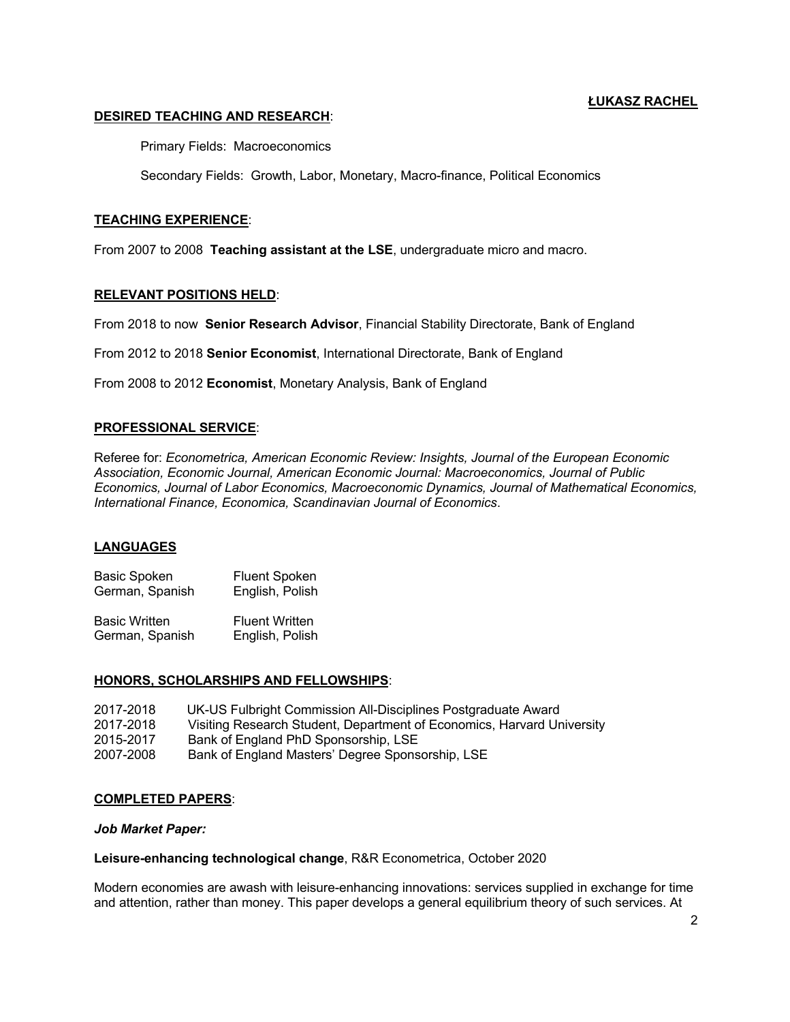# **DESIRED TEACHING AND RESEARCH**:

Primary Fields: Macroeconomics

Secondary Fields: Growth, Labor, Monetary, Macro-finance, Political Economics

# **TEACHING EXPERIENCE**:

From 2007 to 2008 **Teaching assistant at the LSE**, undergraduate micro and macro.

# **RELEVANT POSITIONS HELD**:

From 2018 to now **Senior Research Advisor**, Financial Stability Directorate, Bank of England

From 2012 to 2018 **Senior Economist**, International Directorate, Bank of England

From 2008 to 2012 **Economist**, Monetary Analysis, Bank of England

# **PROFESSIONAL SERVICE**:

Referee for: *Econometrica, American Economic Review: Insights, Journal of the European Economic Association, Economic Journal, American Economic Journal: Macroeconomics, Journal of Public Economics, Journal of Labor Economics, Macroeconomic Dynamics, Journal of Mathematical Economics, International Finance, Economica, Scandinavian Journal of Economics*.

# **LANGUAGES**

Basic Spoken Fluent Spoken German, Spanish English, Polish

Basic Written Fluent Written German, Spanish English, Polish

#### **HONORS, SCHOLARSHIPS AND FELLOWSHIPS**:

| 2017-2018 | UK-US Fulbright Commission All-Disciplines Postgraduate Award          |
|-----------|------------------------------------------------------------------------|
| 2017-2018 | Visiting Research Student, Department of Economics, Harvard University |
| 2015-2017 | Bank of England PhD Sponsorship, LSE                                   |
| 2007-2008 | Bank of England Masters' Degree Sponsorship, LSE                       |

#### **COMPLETED PAPERS**:

#### *Job Market Paper:*

#### **Leisure-enhancing technological change**, R&R Econometrica, October 2020

Modern economies are awash with leisure-enhancing innovations: services supplied in exchange for time and attention, rather than money. This paper develops a general equilibrium theory of such services. At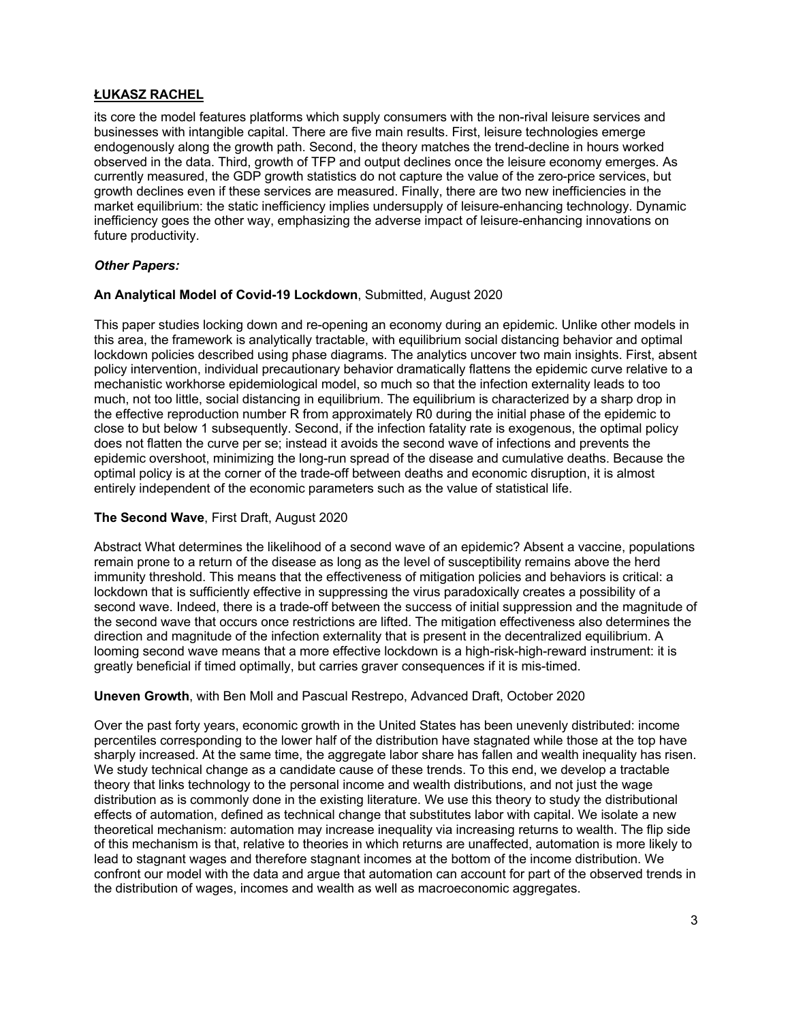its core the model features platforms which supply consumers with the non-rival leisure services and businesses with intangible capital. There are five main results. First, leisure technologies emerge endogenously along the growth path. Second, the theory matches the trend-decline in hours worked observed in the data. Third, growth of TFP and output declines once the leisure economy emerges. As currently measured, the GDP growth statistics do not capture the value of the zero-price services, but growth declines even if these services are measured. Finally, there are two new inefficiencies in the market equilibrium: the static inefficiency implies undersupply of leisure-enhancing technology. Dynamic inefficiency goes the other way, emphasizing the adverse impact of leisure-enhancing innovations on future productivity.

# *Other Papers:*

#### **An Analytical Model of Covid-19 Lockdown**, Submitted, August 2020

This paper studies locking down and re-opening an economy during an epidemic. Unlike other models in this area, the framework is analytically tractable, with equilibrium social distancing behavior and optimal lockdown policies described using phase diagrams. The analytics uncover two main insights. First, absent policy intervention, individual precautionary behavior dramatically flattens the epidemic curve relative to a mechanistic workhorse epidemiological model, so much so that the infection externality leads to too much, not too little, social distancing in equilibrium. The equilibrium is characterized by a sharp drop in the effective reproduction number R from approximately R0 during the initial phase of the epidemic to close to but below 1 subsequently. Second, if the infection fatality rate is exogenous, the optimal policy does not flatten the curve per se; instead it avoids the second wave of infections and prevents the epidemic overshoot, minimizing the long-run spread of the disease and cumulative deaths. Because the optimal policy is at the corner of the trade-off between deaths and economic disruption, it is almost entirely independent of the economic parameters such as the value of statistical life.

#### **The Second Wave**, First Draft, August 2020

Abstract What determines the likelihood of a second wave of an epidemic? Absent a vaccine, populations remain prone to a return of the disease as long as the level of susceptibility remains above the herd immunity threshold. This means that the effectiveness of mitigation policies and behaviors is critical: a lockdown that is sufficiently effective in suppressing the virus paradoxically creates a possibility of a second wave. Indeed, there is a trade-off between the success of initial suppression and the magnitude of the second wave that occurs once restrictions are lifted. The mitigation effectiveness also determines the direction and magnitude of the infection externality that is present in the decentralized equilibrium. A looming second wave means that a more effective lockdown is a high-risk-high-reward instrument: it is greatly beneficial if timed optimally, but carries graver consequences if it is mis-timed.

#### **Uneven Growth**, with Ben Moll and Pascual Restrepo, Advanced Draft, October 2020

Over the past forty years, economic growth in the United States has been unevenly distributed: income percentiles corresponding to the lower half of the distribution have stagnated while those at the top have sharply increased. At the same time, the aggregate labor share has fallen and wealth inequality has risen. We study technical change as a candidate cause of these trends. To this end, we develop a tractable theory that links technology to the personal income and wealth distributions, and not just the wage distribution as is commonly done in the existing literature. We use this theory to study the distributional effects of automation, defined as technical change that substitutes labor with capital. We isolate a new theoretical mechanism: automation may increase inequality via increasing returns to wealth. The flip side of this mechanism is that, relative to theories in which returns are unaffected, automation is more likely to lead to stagnant wages and therefore stagnant incomes at the bottom of the income distribution. We confront our model with the data and argue that automation can account for part of the observed trends in the distribution of wages, incomes and wealth as well as macroeconomic aggregates.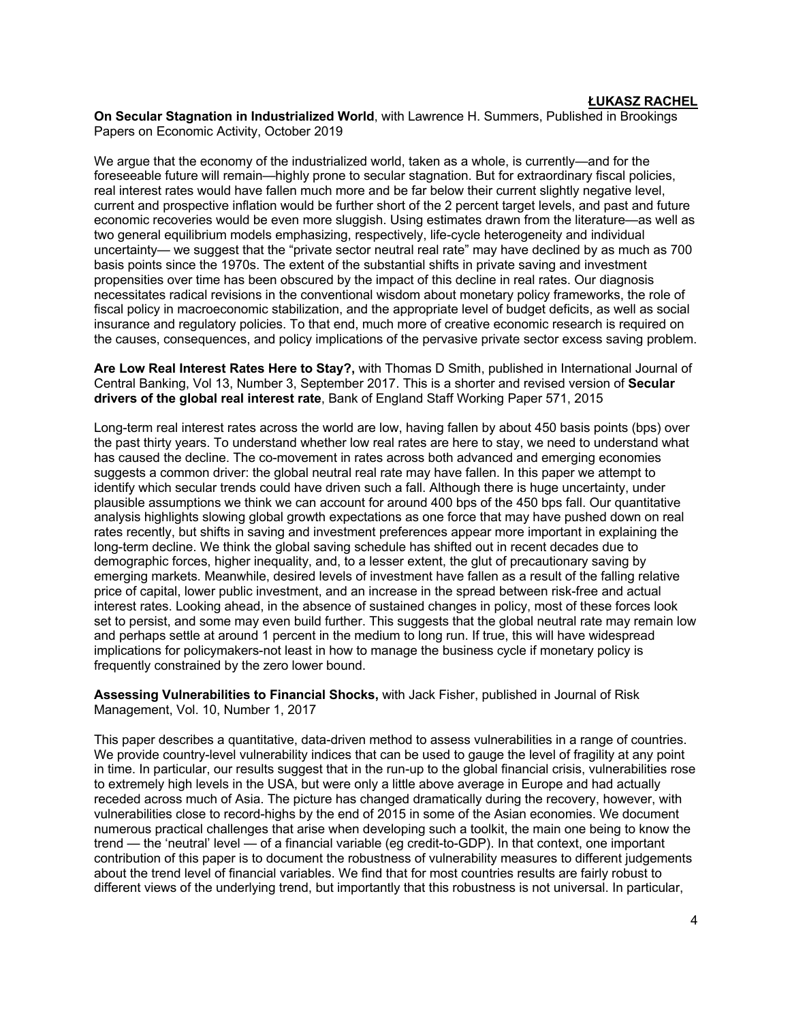**On Secular Stagnation in Industrialized World**, with Lawrence H. Summers, Published in Brookings Papers on Economic Activity, October 2019

We argue that the economy of the industrialized world, taken as a whole, is currently—and for the foreseeable future will remain—highly prone to secular stagnation. But for extraordinary fiscal policies, real interest rates would have fallen much more and be far below their current slightly negative level, current and prospective inflation would be further short of the 2 percent target levels, and past and future economic recoveries would be even more sluggish. Using estimates drawn from the literature—as well as two general equilibrium models emphasizing, respectively, life-cycle heterogeneity and individual uncertainty— we suggest that the "private sector neutral real rate" may have declined by as much as 700 basis points since the 1970s. The extent of the substantial shifts in private saving and investment propensities over time has been obscured by the impact of this decline in real rates. Our diagnosis necessitates radical revisions in the conventional wisdom about monetary policy frameworks, the role of fiscal policy in macroeconomic stabilization, and the appropriate level of budget deficits, as well as social insurance and regulatory policies. To that end, much more of creative economic research is required on the causes, consequences, and policy implications of the pervasive private sector excess saving problem.

**Are Low Real Interest Rates Here to Stay?,** with Thomas D Smith, published in International Journal of Central Banking, Vol 13, Number 3, September 2017. This is a shorter and revised version of **Secular drivers of the global real interest rate**, Bank of England Staff Working Paper 571, 2015

Long-term real interest rates across the world are low, having fallen by about 450 basis points (bps) over the past thirty years. To understand whether low real rates are here to stay, we need to understand what has caused the decline. The co-movement in rates across both advanced and emerging economies suggests a common driver: the global neutral real rate may have fallen. In this paper we attempt to identify which secular trends could have driven such a fall. Although there is huge uncertainty, under plausible assumptions we think we can account for around 400 bps of the 450 bps fall. Our quantitative analysis highlights slowing global growth expectations as one force that may have pushed down on real rates recently, but shifts in saving and investment preferences appear more important in explaining the long-term decline. We think the global saving schedule has shifted out in recent decades due to demographic forces, higher inequality, and, to a lesser extent, the glut of precautionary saving by emerging markets. Meanwhile, desired levels of investment have fallen as a result of the falling relative price of capital, lower public investment, and an increase in the spread between risk-free and actual interest rates. Looking ahead, in the absence of sustained changes in policy, most of these forces look set to persist, and some may even build further. This suggests that the global neutral rate may remain low and perhaps settle at around 1 percent in the medium to long run. If true, this will have widespread implications for policymakers-not least in how to manage the business cycle if monetary policy is frequently constrained by the zero lower bound.

**Assessing Vulnerabilities to Financial Shocks,** with Jack Fisher, published in Journal of Risk Management, Vol. 10, Number 1, 2017

This paper describes a quantitative, data-driven method to assess vulnerabilities in a range of countries. We provide country-level vulnerability indices that can be used to gauge the level of fragility at any point in time. In particular, our results suggest that in the run-up to the global financial crisis, vulnerabilities rose to extremely high levels in the USA, but were only a little above average in Europe and had actually receded across much of Asia. The picture has changed dramatically during the recovery, however, with vulnerabilities close to record-highs by the end of 2015 in some of the Asian economies. We document numerous practical challenges that arise when developing such a toolkit, the main one being to know the trend — the 'neutral' level — of a financial variable (eg credit-to-GDP). In that context, one important contribution of this paper is to document the robustness of vulnerability measures to different judgements about the trend level of financial variables. We find that for most countries results are fairly robust to different views of the underlying trend, but importantly that this robustness is not universal. In particular,